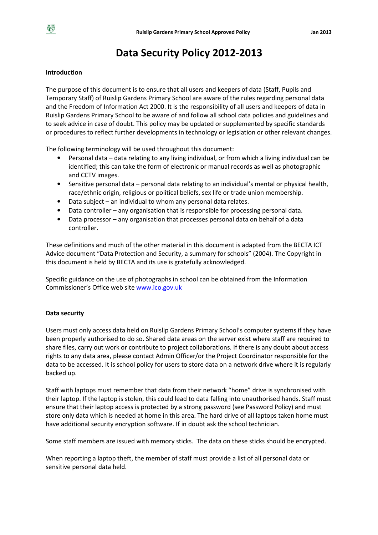# Data Security Policy 2012-2013

## Introduction

The purpose of this document is to ensure that all users and keepers of data (Staff, Pupils and Temporary Staff) of Ruislip Gardens Primary School are aware of the rules regarding personal data and the Freedom of Information Act 2000. It is the responsibility of all users and keepers of data in Ruislip Gardens Primary School to be aware of and follow all school data policies and guidelines and to seek advice in case of doubt. This policy may be updated or supplemented by specific standards or procedures to reflect further developments in technology or legislation or other relevant changes.

The following terminology will be used throughout this document:

- Personal data data relating to any living individual, or from which a living individual can be identified; this can take the form of electronic or manual records as well as photographic and CCTV images.
- Sensitive personal data personal data relating to an individual's mental or physical health, race/ethnic origin, religious or political beliefs, sex life or trade union membership.
- Data subject an individual to whom any personal data relates.
- Data controller any organisation that is responsible for processing personal data.
- Data processor any organisation that processes personal data on behalf of a data controller.

These definitions and much of the other material in this document is adapted from the BECTA ICT Advice document "Data Protection and Security, a summary for schools" (2004). The Copyright in this document is held by BECTA and its use is gratefully acknowledged.

Specific guidance on the use of photographs in school can be obtained from the Information Commissioner's Office web site www.ico.gov.uk

## Data security

Users must only access data held on Ruislip Gardens Primary School's computer systems if they have been properly authorised to do so. Shared data areas on the server exist where staff are required to share files, carry out work or contribute to project collaborations. If there is any doubt about access rights to any data area, please contact Admin Officer/or the Project Coordinator responsible for the data to be accessed. It is school policy for users to store data on a network drive where it is regularly backed up.

Staff with laptops must remember that data from their network "home" drive is synchronised with their laptop. If the laptop is stolen, this could lead to data falling into unauthorised hands. Staff must ensure that their laptop access is protected by a strong password (see Password Policy) and must store only data which is needed at home in this area. The hard drive of all laptops taken home must have additional security encryption software. If in doubt ask the school technician.

Some staff members are issued with memory sticks. The data on these sticks should be encrypted.

When reporting a laptop theft, the member of staff must provide a list of all personal data or sensitive personal data held.

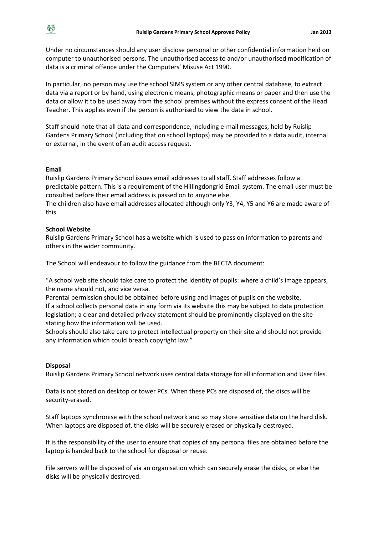Under no circumstances should any user disclose personal or other confidential information held on computer to unauthorised persons. The unauthorised access to and/or unauthorised modification of data is a criminal offence under the Computers' Misuse Act 1990.

In particular, no person may use the school SIMS system or any other central database, to extract data via a report or by hand, using electronic means, photographic means or paper and then use the data or allow it to be used away from the school premises without the express consent of the Head Teacher. This applies even if the person is authorised to view the data in school.

Staff should note that all data and correspondence, including e-mail messages, held by Ruislip Gardens Primary School (including that on school laptops) may be provided to a data audit, internal or external, in the event of an audit access request.

### Email

Ruislip Gardens Primary School issues email addresses to all staff. Staff addresses follow a predictable pattern. This is a requirement of the Hillingdongrid Email system. The email user must be consulted before their email address is passed on to anyone else.

The children also have email addresses allocated although only Y3, Y4, Y5 and Y6 are made aware of this.

### School Website

Ruislip Gardens Primary School has a website which is used to pass on information to parents and others in the wider community.

The School will endeavour to follow the guidance from the BECTA document:

"A school web site should take care to protect the identity of pupils: where a child's image appears, the name should not, and vice versa.

Parental permission should be obtained before using and images of pupils on the website. If a school collects personal data in any form via its website this may be subject to data protection legislation; a clear and detailed privacy statement should be prominently displayed on the site stating how the information will be used.

Schools should also take care to protect intellectual property on their site and should not provide any information which could breach copyright law."

#### Disposal

Ruislip Gardens Primary School network uses central data storage for all information and User files.

Data is not stored on desktop or tower PCs. When these PCs are disposed of, the discs will be security-erased.

Staff laptops synchronise with the school network and so may store sensitive data on the hard disk. When laptops are disposed of, the disks will be securely erased or physically destroyed.

It is the responsibility of the user to ensure that copies of any personal files are obtained before the laptop is handed back to the school for disposal or reuse.

File servers will be disposed of via an organisation which can securely erase the disks, or else the disks will be physically destroyed.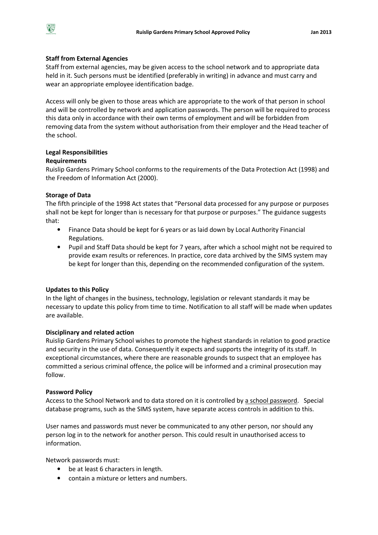# Staff from External Agencies

Staff from external agencies, may be given access to the school network and to appropriate data held in it. Such persons must be identified (preferably in writing) in advance and must carry and wear an appropriate employee identification badge.

Access will only be given to those areas which are appropriate to the work of that person in school and will be controlled by network and application passwords. The person will be required to process this data only in accordance with their own terms of employment and will be forbidden from removing data from the system without authorisation from their employer and the Head teacher of the school.

## Legal Responsibilities

## Requirements

Ruislip Gardens Primary School conforms to the requirements of the Data Protection Act (1998) and the Freedom of Information Act (2000).

# Storage of Data

The fifth principle of the 1998 Act states that "Personal data processed for any purpose or purposes shall not be kept for longer than is necessary for that purpose or purposes." The guidance suggests that:

- Finance Data should be kept for 6 years or as laid down by Local Authority Financial Regulations.
- Pupil and Staff Data should be kept for 7 years, after which a school might not be required to provide exam results or references. In practice, core data archived by the SIMS system may be kept for longer than this, depending on the recommended configuration of the system.

# Updates to this Policy

In the light of changes in the business, technology, legislation or relevant standards it may be necessary to update this policy from time to time. Notification to all staff will be made when updates are available.

# Disciplinary and related action

Ruislip Gardens Primary School wishes to promote the highest standards in relation to good practice and security in the use of data. Consequently it expects and supports the integrity of its staff. In exceptional circumstances, where there are reasonable grounds to suspect that an employee has committed a serious criminal offence, the police will be informed and a criminal prosecution may follow.

## Password Policy

Access to the School Network and to data stored on it is controlled by a school password. Special database programs, such as the SIMS system, have separate access controls in addition to this.

User names and passwords must never be communicated to any other person, nor should any person log in to the network for another person. This could result in unauthorised access to information.

Network passwords must:

- be at least 6 characters in length.
- contain a mixture or letters and numbers.